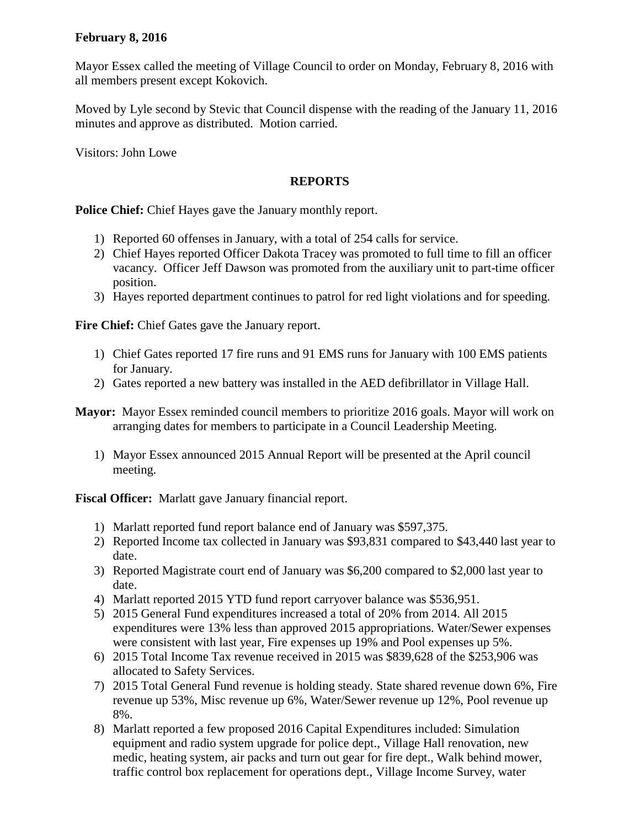## **February 8, 2016**

Mayor Essex called the meeting of Village Council to order on Monday, February 8, 2016 with all members present except Kokovich.

Moved by Lyle second by Stevic that Council dispense with the reading of the January 11, 2016 minutes and approve as distributed. Motion carried.

Visitors: John Lowe

## **REPORTS**

**Police Chief:** Chief Hayes gave the January monthly report.

- 1) Reported 60 offenses in January, with a total of 254 calls for service.
- 2) Chief Hayes reported Officer Dakota Tracey was promoted to full time to fill an officer vacancy. Officer Jeff Dawson was promoted from the auxiliary unit to part-time officer position.
- 3) Hayes reported department continues to patrol for red light violations and for speeding.

**Fire Chief:** Chief Gates gave the January report.

- 1) Chief Gates reported 17 fire runs and 91 EMS runs for January with 100 EMS patients for January.
- 2) Gates reported a new battery was installed in the AED defibrillator in Village Hall.
- **Mayor:** Mayor Essex reminded council members to prioritize 2016 goals. Mayor will work on arranging dates for members to participate in a Council Leadership Meeting.
	- 1) Mayor Essex announced 2015 Annual Report will be presented at the April council meeting.

**Fiscal Officer:** Marlatt gave January financial report.

- 1) Marlatt reported fund report balance end of January was \$597,375.
- 2) Reported Income tax collected in January was \$93,831 compared to \$43,440 last year to date.
- 3) Reported Magistrate court end of January was \$6,200 compared to \$2,000 last year to date.
- 4) Marlatt reported 2015 YTD fund report carryover balance was \$536,951.
- 5) 2015 General Fund expenditures increased a total of 20% from 2014. All 2015 expenditures were 13% less than approved 2015 appropriations. Water/Sewer expenses were consistent with last year, Fire expenses up 19% and Pool expenses up 5%.
- 6) 2015 Total Income Tax revenue received in 2015 was \$839,628 of the \$253,906 was allocated to Safety Services.
- 7) 2015 Total General Fund revenue is holding steady. State shared revenue down 6%, Fire revenue up 53%, Misc revenue up 6%, Water/Sewer revenue up 12%, Pool revenue up 8%.
- 8) Marlatt reported a few proposed 2016 Capital Expenditures included: Simulation equipment and radio system upgrade for police dept., Village Hall renovation, new medic, heating system, air packs and turn out gear for fire dept., Walk behind mower, traffic control box replacement for operations dept., Village Income Survey, water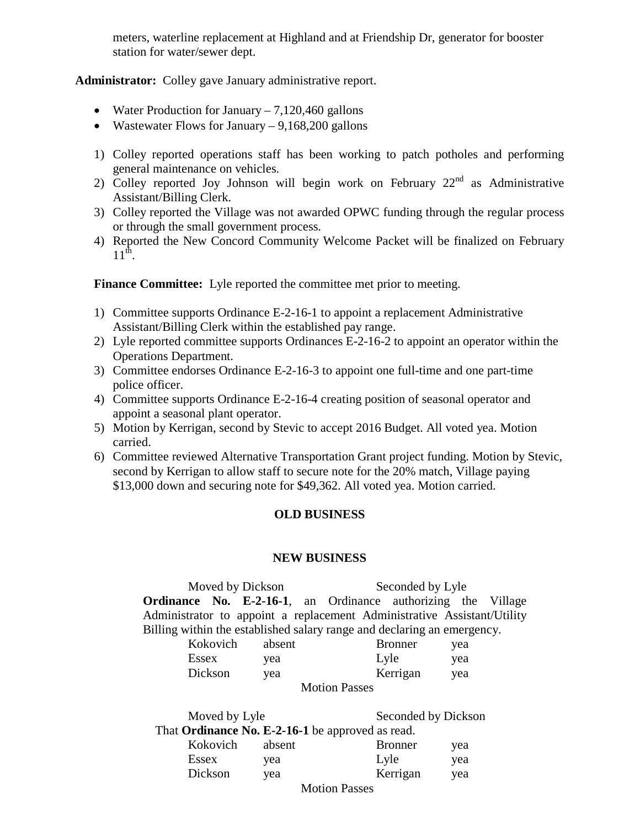meters, waterline replacement at Highland and at Friendship Dr, generator for booster station for water/sewer dept.

**Administrator:** Colley gave January administrative report.

- Water Production for January 7,120,460 gallons
- Wastewater Flows for January  $-9,168,200$  gallons
- 1) Colley reported operations staff has been working to patch potholes and performing general maintenance on vehicles.
- 2) Colley reported Joy Johnson will begin work on February  $22<sup>nd</sup>$  as Administrative Assistant/Billing Clerk.
- 3) Colley reported the Village was not awarded OPWC funding through the regular process or through the small government process.
- 4) Reported the New Concord Community Welcome Packet will be finalized on February  $11^{th}$ .

**Finance Committee:** Lyle reported the committee met prior to meeting.

- 1) Committee supports Ordinance E-2-16-1 to appoint a replacement Administrative Assistant/Billing Clerk within the established pay range.
- 2) Lyle reported committee supports Ordinances E-2-16-2 to appoint an operator within the Operations Department.
- 3) Committee endorses Ordinance E-2-16-3 to appoint one full-time and one part-time police officer.
- 4) Committee supports Ordinance E-2-16-4 creating position of seasonal operator and appoint a seasonal plant operator.
- 5) Motion by Kerrigan, second by Stevic to accept 2016 Budget. All voted yea. Motion carried.
- 6) Committee reviewed Alternative Transportation Grant project funding. Motion by Stevic, second by Kerrigan to allow staff to secure note for the 20% match, Village paying \$13,000 down and securing note for \$49,362. All voted yea. Motion carried.

## **OLD BUSINESS**

## **NEW BUSINESS**

Moved by Dickson Seconded by Lyle **Ordinance No. E-2-16-1**, an Ordinance authorizing the Village Administrator to appoint a replacement Administrative Assistant/Utility Billing within the established salary range and declaring an emergency.

| Kokovich | absent | <b>Bronner</b>       | yea |
|----------|--------|----------------------|-----|
| Essex    | yea    | Lyle                 | yea |
| Dickson  | yea    | Kerrigan             | yea |
|          |        | <b>Motion Passes</b> |     |

| Moved by Lyle                                           |        | Seconded by Dickson     |     |
|---------------------------------------------------------|--------|-------------------------|-----|
| That <b>Ordinance No. E-2-16-1</b> be approved as read. |        |                         |     |
| Kokovich                                                | absent | <b>Bronner</b>          | yea |
| Essex                                                   | vea    | Lyle                    | yea |
| Dickson                                                 | yea    | Kerrigan                | yea |
|                                                         |        | $M_{\odot}$ is a Decoco |     |

Motion Passes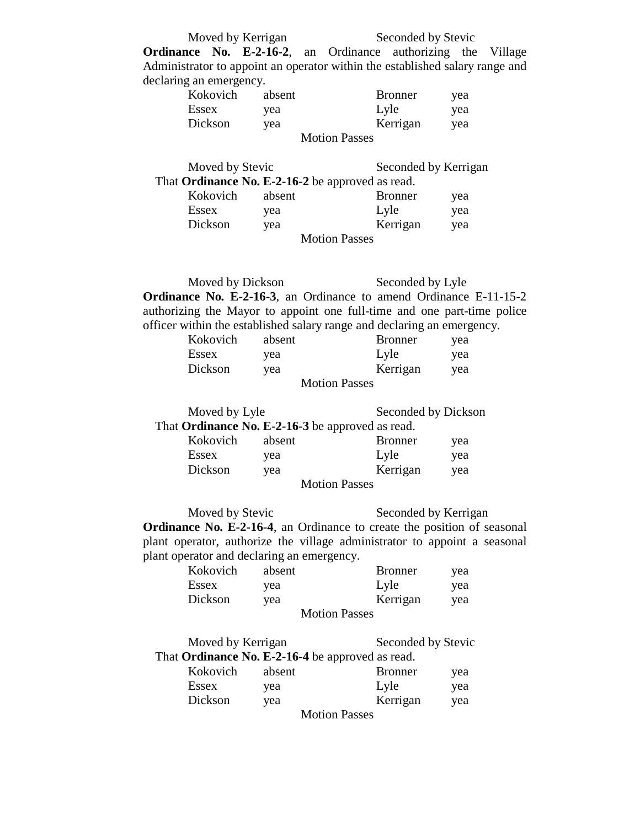Moved by Kerrigan Seconded by Stevic

**Ordinance No. E-2-16-2**, an Ordinance authorizing the Village Administrator to appoint an operator within the established salary range and declaring an emergency.

| Kokovich             | absent | <b>Bronner</b> | yea |
|----------------------|--------|----------------|-----|
| Essex                | yea    | Lyle           | yea |
| Dickson              | yea    | Kerrigan       | yea |
| <b>Motion Passes</b> |        |                |     |

| Moved by Stevic                                  |        |                      | Seconded by Kerrigan |     |
|--------------------------------------------------|--------|----------------------|----------------------|-----|
| That Ordinance No. E-2-16-2 be approved as read. |        |                      |                      |     |
| Kokovich                                         | absent |                      | <b>Bronner</b>       | yea |
| Essex                                            | yea    |                      | Lyle                 | yea |
| Dickson                                          | yea    |                      | Kerrigan             | yea |
|                                                  |        | <b>Motion Passes</b> |                      |     |

Moved by Dickson Seconded by Lyle **Ordinance No. E-2-16-3**, an Ordinance to amend Ordinance E-11-15-2 authorizing the Mayor to appoint one full-time and one part-time police officer within the established salary range and declaring an emergency.

| Kokovich | absent | <b>Bronner</b>       | yea |
|----------|--------|----------------------|-----|
| Essex    | yea    | Lyle                 | yea |
| Dickson  | yea    | Kerrigan             | yea |
|          |        | <b>Motion Passes</b> |     |

| Moved by Lyle                                    |        | Seconded by Dickson  |     |
|--------------------------------------------------|--------|----------------------|-----|
| That Ordinance No. E-2-16-3 be approved as read. |        |                      |     |
| Kokovich                                         | absent | <b>Bronner</b>       | yea |
| Essex                                            | vea    | Lyle                 | yea |
| Dickson                                          | yea    | Kerrigan             | yea |
|                                                  |        | <b>Motion Passes</b> |     |

Moved by Stevic Seconded by Kerrigan **Ordinance No. E-2-16-4**, an Ordinance to create the position of seasonal plant operator, authorize the village administrator to appoint a seasonal plant operator and declaring an emergency.

| Kokovich | absent | <b>Bronner</b>       | yea |
|----------|--------|----------------------|-----|
| Essex    | yea    | Lyle                 | yea |
| Dickson  | yea    | Kerrigan             | yea |
|          |        | <b>Motion Passes</b> |     |

| Moved by Kerrigan                                       | Seconded by Stevic |
|---------------------------------------------------------|--------------------|
| That <b>Ordinance No. E-2-16-4</b> be approved as read. |                    |

| Kokovich | absent |                                         | <b>Bronner</b> | yea |
|----------|--------|-----------------------------------------|----------------|-----|
| Essex    | yea    |                                         | Lyle           | yea |
| Dickson  | yea    |                                         | Kerrigan       | yea |
|          |        | $\mathbf{M}$ is the set of $\mathbf{N}$ |                |     |

Motion Passes